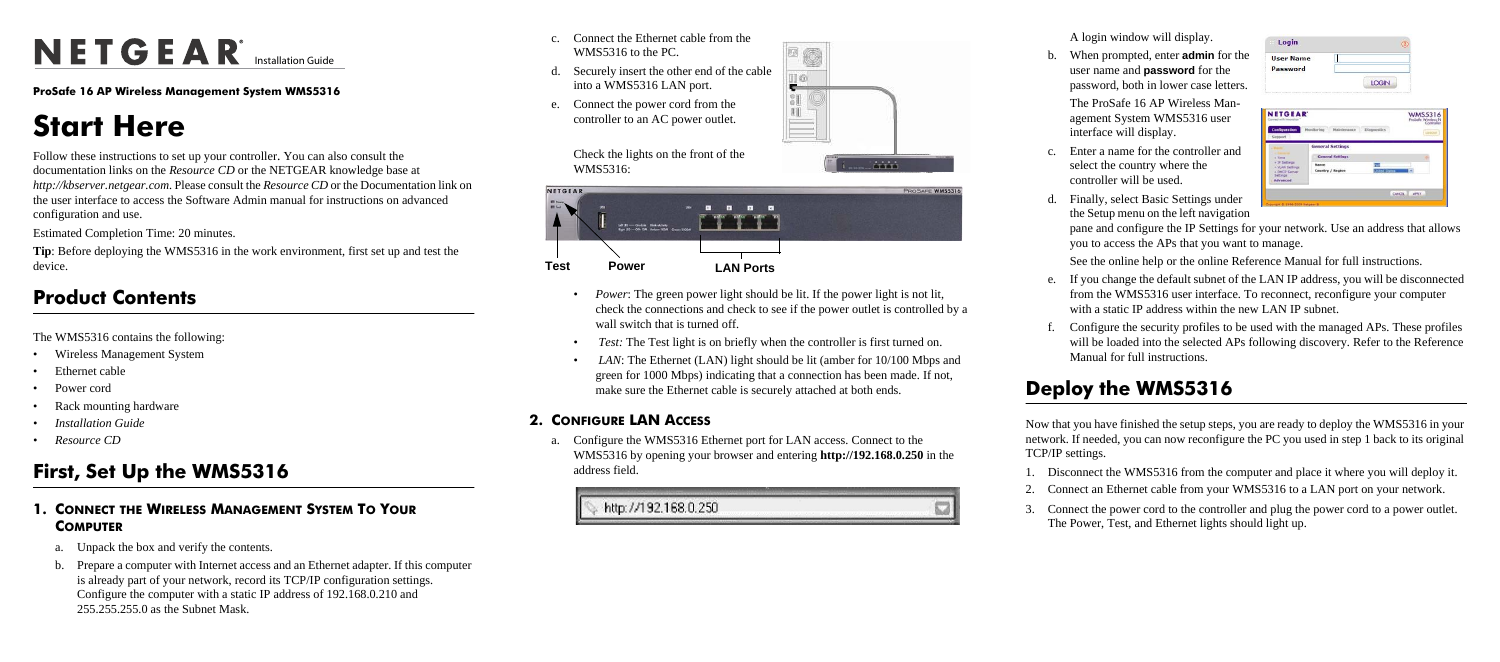# NETGEAR<sup>®</sup> Installation Guide

e **ProSafe 16 AP Wireless Management System WMS5316**

# **Start Here**

Follow these instructions to set up your controller. You can also consult the documentation links on the *Resource CD* or the NETGEAR knowledge base at *http://kbserver.netgear.com*. Please consult the *Resource CD* or the Documentation link on the user interface to access the Software Admin manual for instructions on advanced configuration and use.

Estimated Completion Time: 20 minutes.

**Tip**: Before deploying the WMS5316 in the work environment, first set up and test the device.

#### **Product Contents**

The WMS5316 contains the following:

- Wireless Management System
- Ethernet cable
- Power cord
- Rack mounting hardware
- *Installation Guide*
- *Resource CD*

## **First, Set Up the WMS5316**

- *Power*: The green power light should be lit. If the power light is not lit, check the connections and check to see if the power outlet is controlled by a wall switch that is turned off.
- • *Test:* The Test light is on briefly when the controller is first turned on.
- *LAN*: The Ethernet (LAN) light should be lit (amber for 10/100 Mbps and green for 1000 Mbps) indicating that a connection has been made. If not, make sure the Ethernet cable is securely attached at both ends.

- **1. CONNECT THE WIRELESS MANAGEMENT SYSTEM TO YOUR COMPUTER**
	- a. Unpack the box and verify the contents.
	- b. Prepare a computer with Internet access and an Ethernet adapter. If this computer is already part of your network, record its TCP/IP configuration settings. Configure the computer with a static IP address of 192.168.0.210 and 255.255.255.0 as the Subnet Mask.
- c. Connect the Ethernet cable from the WMS5316 to the PC.
- d. Securely insert the other end of the cable into a WMS5316 LAN port.
- e. Connect the power cord from the controller to an AC power outlet.



#### **2. CONFIGURE LAN ACCESS**

a. Configure the WMS5316 Ethernet port for LAN access. Connect to the WMS5316 by opening your browser and entering **http://192.168.0.250** in the address field.

http://192.168.0.250



- 
- 
- 
- d. Finally the Setu
	-
- 
- 



 $E$  $\overline{3}$  $\mathbf{H}$ 

**Animal** 



A login window will display.

b. When prompted, enter **admin** for the user name and **password** for the password, both in lower case letters.

> The ProSafe 16 AP Wireless Management System WMS5316 user interface will display.

c. Enter a name for the controller and select the country where the controller will be used.

| s select Basic Settings under  |
|--------------------------------|
| up menu on the left navigation |

| <b>User Name</b>                                   |                           |                   |                                 |
|----------------------------------------------------|---------------------------|-------------------|---------------------------------|
| Password                                           |                           | <b>LOGIN</b>      |                                 |
|                                                    |                           |                   |                                 |
|                                                    |                           |                   | <b>WMS5316</b><br>ProSede Winds |
| <b>NETGEAR</b><br><b>Configuration</b><br>Support. | Monitoring<br>Maintenance | <b>Dispansies</b> |                                 |
|                                                    | <b>General Settings</b>   |                   |                                 |

CANCIL | APRY

pane and configure the IP Settings for your network. Use an address that allows you to access the APs that you want to manage.

Settings<br>Advanced

See the online help or the online Reference Manual for full instructions.

e. If you change the default subnet of the LAN IP address, you will be disconnected from the WMS5316 user interface. To reconnect, reconfigure your computer with a static IP address within the new LAN IP subnet.

f. Configure the security profiles to be used with the managed APs. These profiles will be loaded into the selected APs following discovery. Refer to the Reference Manual for full instructions.

## **Deploy the WMS5316**

Now that you have finished the setup steps, you are ready to deploy the WMS5316 in your network. If needed, you can now reconfigure the PC you used in step 1 back to its original

TCP/IP settings.

- 
- 
- 

1. Disconnect the WMS5316 from the computer and place it where you will deploy it. 2. Connect an Ethernet cable from your WMS5316 to a LAN port on your network.

3. Connect the power cord to the controller and plug the power cord to a power outlet. The Power, Test, and Ethernet lights should light up.